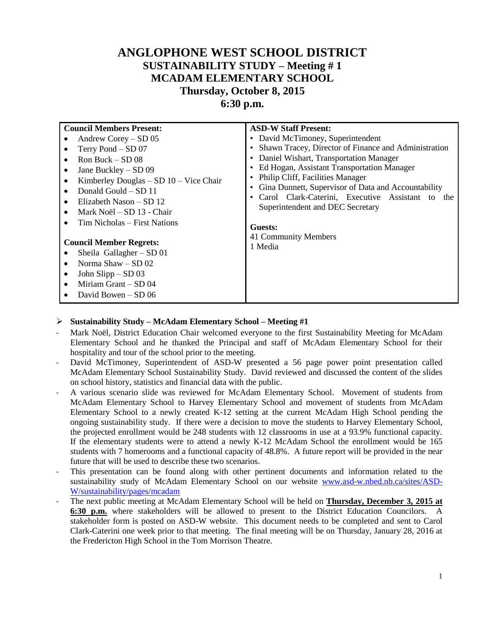# **ANGLOPHONE WEST SCHOOL DISTRICT SUSTAINABILITY STUDY – Meeting # 1 MCADAM ELEMENTARY SCHOOL Thursday, October 8, 2015 6:30 p.m.**

| <b>Council Members Present:</b>            | <b>ASD-W Staff Present:</b>                            |
|--------------------------------------------|--------------------------------------------------------|
| Andrew Corey $-$ SD 05                     | • David McTimoney, Superintendent                      |
| Terry Pond – SD 07                         | • Shawn Tracey, Director of Finance and Administration |
| Ron Buck $-$ SD 08                         | • Daniel Wishart, Transportation Manager               |
| Jane Buckley $-$ SD 09                     | Ed Hogan, Assistant Transportation Manager             |
| Kimberley Douglas $-$ SD 10 $-$ Vice Chair | $\bullet$                                              |
| Donald Gould – SD 11                       | Philip Cliff, Facilities Manager                       |
| Elizabeth Nason – SD 12                    | $\bullet$                                              |
| Mark Noël – SD 13 - Chair                  | • Gina Dunnett, Supervisor of Data and Accountability  |
| Tim Nicholas – First Nations               | Carol Clark-Caterini, Executive Assistant              |
| <b>Council Member Regrets:</b>             | to the                                                 |
| Sheila Gallagher $-$ SD 01                 | $\bullet$                                              |
| Norma Shaw $-$ SD 02                       | Superintendent and DEC Secretary                       |
| John Slipp $-$ SD 03                       | Guests:                                                |
| Miriam Grant - SD 04                       | 41 Community Members                                   |
| David Bowen - SD 06                        | 1 Media                                                |

## **Sustainability Study – McAdam Elementary School – Meeting #1**

- Mark Noël, District Education Chair welcomed everyone to the first Sustainability Meeting for McAdam Elementary School and he thanked the Principal and staff of McAdam Elementary School for their hospitality and tour of the school prior to the meeting.
- David McTimoney, Superintendent of ASD-W presented a 56 page power point presentation called McAdam Elementary School Sustainability Study. David reviewed and discussed the content of the slides on school history, statistics and financial data with the public.
- A various scenario slide was reviewed for McAdam Elementary School. Movement of students from McAdam Elementary School to Harvey Elementary School and movement of students from McAdam Elementary School to a newly created K-12 setting at the current McAdam High School pending the ongoing sustainability study. If there were a decision to move the students to Harvey Elementary School, the projected enrollment would be 248 students with 12 classrooms in use at a 93.9% functional capacity. If the elementary students were to attend a newly K-12 McAdam School the enrollment would be 165 students with 7 homerooms and a functional capacity of 48.8%. A future report will be provided in the near future that will be used to describe these two scenarios.
- This presentation can be found along with other pertinent documents and information related to the sustainability study of McAdam Elementary School on our website [www.asd-w.nbed.nb.ca/sites/ASD-](http://www.asd-w.nbed.nb.ca/sites/ASD-W/sustainability/pages/mcadam)[W/sustainability/pages/mcadam](http://www.asd-w.nbed.nb.ca/sites/ASD-W/sustainability/pages/mcadam)
- The next public meeting at McAdam Elementary School will be held on **Thursday, December 3, 2015 at 6:30 p.m.** where stakeholders will be allowed to present to the District Education Councilors. A stakeholder form is posted on ASD-W website. This document needs to be completed and sent to Carol Clark-Caterini one week prior to that meeting. The final meeting will be on Thursday, January 28, 2016 at the Fredericton High School in the Tom Morrison Theatre.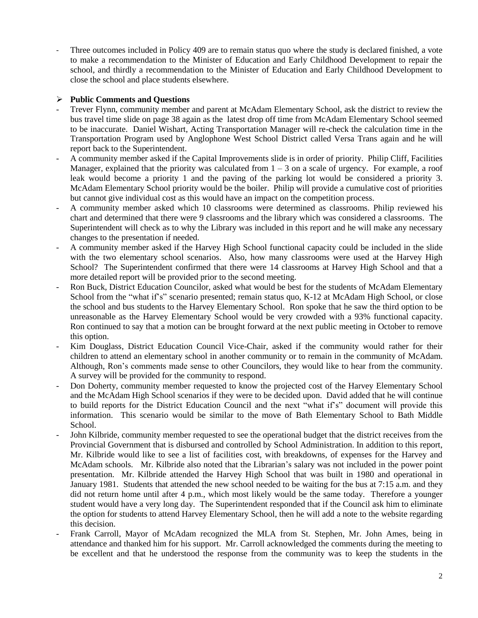Three outcomes included in Policy 409 are to remain status quo where the study is declared finished, a vote to make a recommendation to the Minister of Education and Early Childhood Development to repair the school, and thirdly a recommendation to the Minister of Education and Early Childhood Development to close the school and place students elsewhere.

### **Public Comments and Questions**

- Trever Flynn, community member and parent at McAdam Elementary School, ask the district to review the bus travel time slide on page 38 again as the latest drop off time from McAdam Elementary School seemed to be inaccurate. Daniel Wishart, Acting Transportation Manager will re-check the calculation time in the Transportation Program used by Anglophone West School District called Versa Trans again and he will report back to the Superintendent.
- A community member asked if the Capital Improvements slide is in order of priority. Philip Cliff, Facilities Manager, explained that the priority was calculated from  $1 - 3$  on a scale of urgency. For example, a roof leak would become a priority 1 and the paving of the parking lot would be considered a priority 3. McAdam Elementary School priority would be the boiler. Philip will provide a cumulative cost of priorities but cannot give individual cost as this would have an impact on the competition process.
- A community member asked which 10 classrooms were determined as classrooms. Philip reviewed his chart and determined that there were 9 classrooms and the library which was considered a classrooms. The Superintendent will check as to why the Library was included in this report and he will make any necessary changes to the presentation if needed.
- A community member asked if the Harvey High School functional capacity could be included in the slide with the two elementary school scenarios. Also, how many classrooms were used at the Harvey High School? The Superintendent confirmed that there were 14 classrooms at Harvey High School and that a more detailed report will be provided prior to the second meeting.
- Ron Buck, District Education Councilor, asked what would be best for the students of McAdam Elementary School from the "what if's" scenario presented; remain status quo, K-12 at McAdam High School, or close the school and bus students to the Harvey Elementary School. Ron spoke that he saw the third option to be unreasonable as the Harvey Elementary School would be very crowded with a 93% functional capacity. Ron continued to say that a motion can be brought forward at the next public meeting in October to remove this option.
- Kim Douglass, District Education Council Vice-Chair, asked if the community would rather for their children to attend an elementary school in another community or to remain in the community of McAdam. Although, Ron's comments made sense to other Councilors, they would like to hear from the community. A survey will be provided for the community to respond.
- Don Doherty, community member requested to know the projected cost of the Harvey Elementary School and the McAdam High School scenarios if they were to be decided upon. David added that he will continue to build reports for the District Education Council and the next "what if's" document will provide this information. This scenario would be similar to the move of Bath Elementary School to Bath Middle School.
- John Kilbride, community member requested to see the operational budget that the district receives from the Provincial Government that is disbursed and controlled by School Administration. In addition to this report, Mr. Kilbride would like to see a list of facilities cost, with breakdowns, of expenses for the Harvey and McAdam schools. Mr. Kilbride also noted that the Librarian's salary was not included in the power point presentation. Mr. Kilbride attended the Harvey High School that was built in 1980 and operational in January 1981. Students that attended the new school needed to be waiting for the bus at 7:15 a.m. and they did not return home until after 4 p.m., which most likely would be the same today. Therefore a younger student would have a very long day. The Superintendent responded that if the Council ask him to eliminate the option for students to attend Harvey Elementary School, then he will add a note to the website regarding this decision.
- Frank Carroll, Mayor of McAdam recognized the MLA from St. Stephen, Mr. John Ames, being in attendance and thanked him for his support. Mr. Carroll acknowledged the comments during the meeting to be excellent and that he understood the response from the community was to keep the students in the